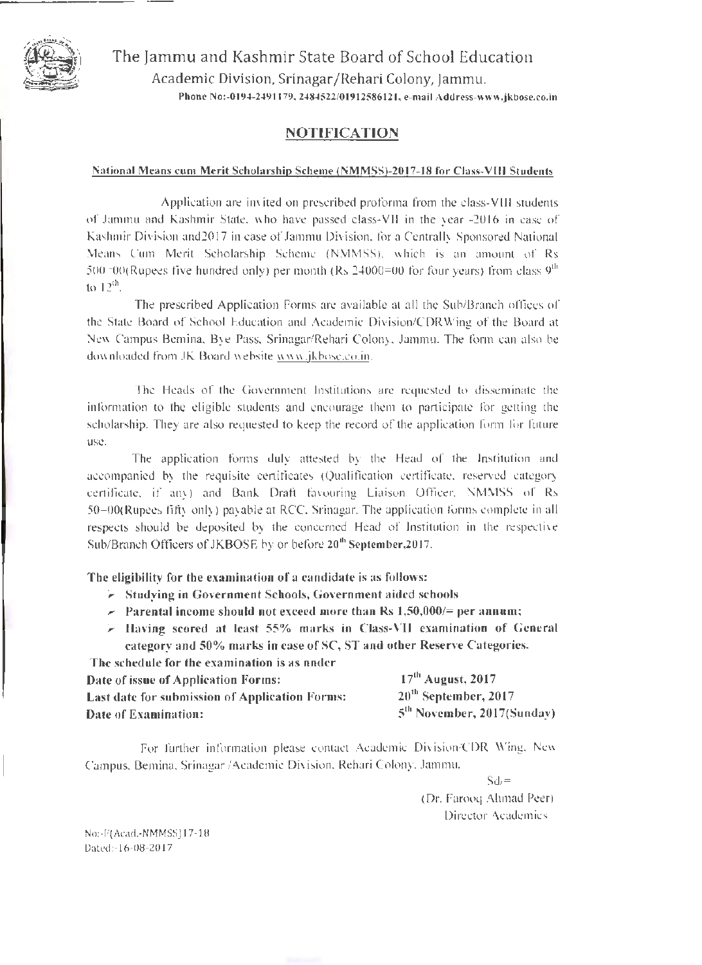

The [ammu and Kashmir State Board of School Education Academic Division, Srinagar /Rehari Colony, [ammu, Phone No:-0194-2491179, 2484522/01912586121, e-mail Address-www.jkbose.co.in

## NOTIFICATION

#### National Means cum Merit Scholarship Scheme (NMMSS)-2017-18 for Class-VIII Students

Application are invited on prescribed proforma from the class-VIII students of Jammu and Kashmir State, who have passed class-VII in the year -2016 in case of Kashmir Division and2017 in case of Jammu Division, for a Centrally Sponsored National Means Cum Merit Scholarship Scheme (NMMSS), which is an amount of Rs 500=00(Rupees five hundred only) per month (Rs 24000=00 for four years) from class  $9<sup>th</sup>$ to  $12^{th}$ .

The prescribed Application Forms are available at all the Sub/Branch offices of the State Board of School Education and Academic Division/CDRWing of the Board at New Campus Bemina, Bye Pass, Srinagar/Rehari Colony, Jammu. The form can also be down loaded from JK Board website www.jkbose.co.in.

The Heads of the Government Institutions are requested to disseminate the information to the eligible students and encourage them to participate for getting the scholarship. They are also requested to keep the record of the application form for future use.

The application forms duly attested by the Head of the Institution and accompanied by the requisite certificates (Qualification certificate, reserved category certificate, if any) and Bank Draft favouring Liaison Officer, NMMSS of Rs 50=00(Rupees fifty only) payable at RCC, Srinagar. The application forms complete in all respects should be deposited by the concerned Head of Institution in the respective Sub/Branch Officers of JKBOSE by or before 20<sup>th</sup> September, 2017.

The eligibility for the examination of a candidate is as follows:

- ~ Studying in Government Schools, Government aided schools
- $\ge$  Parental income should not exceed more than Rs 1,50,000/= per annum;
- $\ge$  Having scored at least 55% marks in Class-VII examination of General category and 50% marks in case of SC, ST and other Reserve Categories. The schedule for the examination is as under

| The schedule for the examination is as idition        |                                        |
|-------------------------------------------------------|----------------------------------------|
| Date of issue of Application Forms:                   | $17th$ August, 2017                    |
| <b>Last date for submission of Application Forms:</b> | $20th$ September, 2017                 |
| Date of Examination:                                  | 5 <sup>th</sup> November, 2017(Sunday) |

For further information please contact Academic Division/COR Wing, New Campus, Bemina, Srinagar /Academic Division, Rehari Colony, Jammu,

 $Sd/=$ 

(Or. Farooq Ahmad Peer) Director Academics

No:-F(Acad.-NMMSS)17-18 Dated:-16-08-2017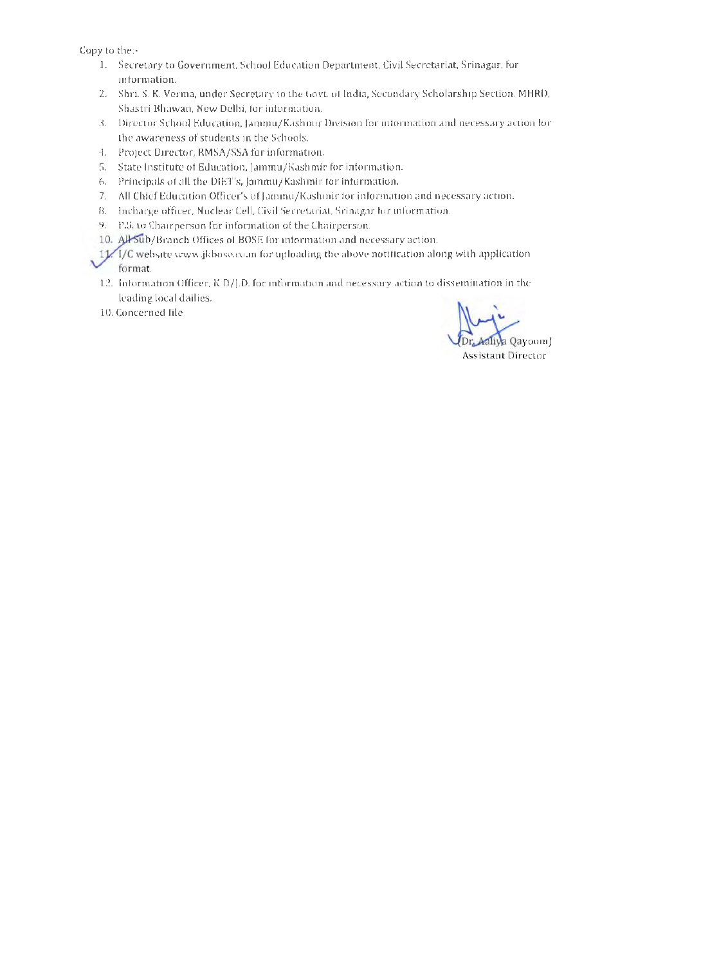Copy to the:-

- 1. Secretary to Government, School Education Department, Civil Secretariat, Srinagar, for information.
- 2. Shri. S. K. Verma, under Secretary to the Govt. of India, Secondary Scholarship Section, MHRD, Shastri Bhawan, New Delhi, for information.
- 3. Director School Education, [amrnu/Kashmir Division for information and necessary action for the awareness of students in the Schools.
- 4. Project Director, RMSA/SSA for information.
- 5. State Institute of Education, [arnmu/Kashmir for information.
- 6. Principals of all the DIET's, [ammu/Kashmir for information.
- 7. All Chief Education Officer's of [ammu/Kashrnir for information and necessary action.
- 8. Incharge officer, Nuclear Cell, Civil Secretariat, Srinagar for information.
- 9. P.S. to Chairperson for information of the Chairperson.
- 10. All Sub/Branch Offices of BOSE for information and necessary action.

~ 11/H/C website www.jkbose.co.in for uploading the above notification along with application format.

- 12. Information Officer, K.D/j.D. for information and necessary action to dissemination in the leading local dailies.
- 10. Concerned file

 $V_{DT_eA}$ Assistant Director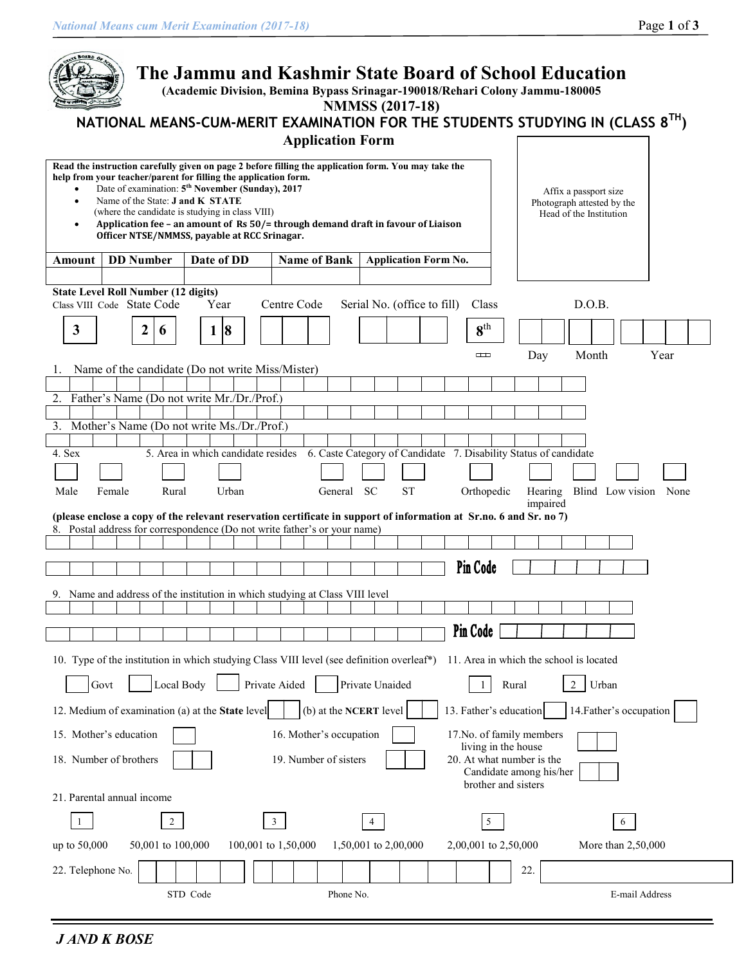| BOARD OF<br>The Jammu and Kashmir State Board of School Education<br>(Academic Division, Bemina Bypass Srinagar-190018/Rehari Colony Jammu-180005<br><b>NMMSS</b> (2017-18)<br>NATIONAL MEANS-CUM-MERIT EXAMINATION FOR THE STUDENTS STUDYING IN (CLASS 8 <sup>TH</sup> )<br><b>Application Form</b>                                                                                                                                                                                                                                                                     |  |  |  |  |  |  |  |  |
|--------------------------------------------------------------------------------------------------------------------------------------------------------------------------------------------------------------------------------------------------------------------------------------------------------------------------------------------------------------------------------------------------------------------------------------------------------------------------------------------------------------------------------------------------------------------------|--|--|--|--|--|--|--|--|
| Read the instruction carefully given on page 2 before filling the application form. You may take the<br>help from your teacher/parent for filling the application form.<br>Date of examination: 5 <sup>th</sup> November (Sunday), 2017<br>Affix a passport size<br>Name of the State: <b>J and K STATE</b><br>$\bullet$<br>Photograph attested by the<br>(where the candidate is studying in class VIII)<br>Head of the Institution<br>Application fee - an amount of Rs 50/= through demand draft in favour of Liaison<br>Officer NTSE/NMMSS, payable at RCC Srinagar. |  |  |  |  |  |  |  |  |
| <b>DD</b> Number<br>Date of DD<br><b>Name of Bank</b><br><b>Application Form No.</b><br>Amount                                                                                                                                                                                                                                                                                                                                                                                                                                                                           |  |  |  |  |  |  |  |  |
| <b>State Level Roll Number (12 digits)</b>                                                                                                                                                                                                                                                                                                                                                                                                                                                                                                                               |  |  |  |  |  |  |  |  |
| D.O.B.<br>Class VIII Code State Code<br>Year<br>Centre Code<br>Serial No. (office to fill)<br>Class                                                                                                                                                                                                                                                                                                                                                                                                                                                                      |  |  |  |  |  |  |  |  |
| $8^{\text{th}}$<br>$\mathbf{3}$<br>$\vert 8$<br>2<br>1<br>6                                                                                                                                                                                                                                                                                                                                                                                                                                                                                                              |  |  |  |  |  |  |  |  |
| Month<br>Year<br>$\Box$                                                                                                                                                                                                                                                                                                                                                                                                                                                                                                                                                  |  |  |  |  |  |  |  |  |
| Day<br>Name of the candidate (Do not write Miss/Mister)<br>Ι.                                                                                                                                                                                                                                                                                                                                                                                                                                                                                                            |  |  |  |  |  |  |  |  |
|                                                                                                                                                                                                                                                                                                                                                                                                                                                                                                                                                                          |  |  |  |  |  |  |  |  |
| 2. Father's Name (Do not write Mr./Dr./Prof.)                                                                                                                                                                                                                                                                                                                                                                                                                                                                                                                            |  |  |  |  |  |  |  |  |
| 3.<br>Mother's Name (Do not write Ms./Dr./Prof.)                                                                                                                                                                                                                                                                                                                                                                                                                                                                                                                         |  |  |  |  |  |  |  |  |
| 6. Caste Category of Candidate 7. Disability Status of candidate<br>5. Area in which candidate resides<br>4. Sex                                                                                                                                                                                                                                                                                                                                                                                                                                                         |  |  |  |  |  |  |  |  |
|                                                                                                                                                                                                                                                                                                                                                                                                                                                                                                                                                                          |  |  |  |  |  |  |  |  |
| Urban<br>General SC<br><b>ST</b><br>Male<br>Rural<br>Hearing Blind Low vision None<br>Female<br>Orthopedic<br>impaired                                                                                                                                                                                                                                                                                                                                                                                                                                                   |  |  |  |  |  |  |  |  |
| (please enclose a copy of the relevant reservation certificate in support of information at Sr.no. 6 and Sr. no 7)<br>8. Postal address for correspondence (Do not write father's or your name)                                                                                                                                                                                                                                                                                                                                                                          |  |  |  |  |  |  |  |  |
|                                                                                                                                                                                                                                                                                                                                                                                                                                                                                                                                                                          |  |  |  |  |  |  |  |  |
| Pin Code                                                                                                                                                                                                                                                                                                                                                                                                                                                                                                                                                                 |  |  |  |  |  |  |  |  |
| 9. Name and address of the institution in which studying at Class VIII level                                                                                                                                                                                                                                                                                                                                                                                                                                                                                             |  |  |  |  |  |  |  |  |
|                                                                                                                                                                                                                                                                                                                                                                                                                                                                                                                                                                          |  |  |  |  |  |  |  |  |
| Pin Code                                                                                                                                                                                                                                                                                                                                                                                                                                                                                                                                                                 |  |  |  |  |  |  |  |  |
|                                                                                                                                                                                                                                                                                                                                                                                                                                                                                                                                                                          |  |  |  |  |  |  |  |  |
| 10. Type of the institution in which studying Class VIII level (see definition overleaf*)<br>11. Area in which the school is located                                                                                                                                                                                                                                                                                                                                                                                                                                     |  |  |  |  |  |  |  |  |
| Private Aided<br>Private Unaided<br>$\overline{2}$<br>Govt<br>Local Body<br>Urban<br>$\mathbf{1}$<br>Rural                                                                                                                                                                                                                                                                                                                                                                                                                                                               |  |  |  |  |  |  |  |  |
| (b) at the NCERT level<br>14. Father's occupation<br>12. Medium of examination (a) at the State level<br>13. Father's education                                                                                                                                                                                                                                                                                                                                                                                                                                          |  |  |  |  |  |  |  |  |
| 15. Mother's education<br>16. Mother's occupation<br>17. No. of family members                                                                                                                                                                                                                                                                                                                                                                                                                                                                                           |  |  |  |  |  |  |  |  |
| living in the house<br>19. Number of sisters<br>20. At what number is the<br>18. Number of brothers<br>Candidate among his/her<br>brother and sisters                                                                                                                                                                                                                                                                                                                                                                                                                    |  |  |  |  |  |  |  |  |
| 21. Parental annual income                                                                                                                                                                                                                                                                                                                                                                                                                                                                                                                                               |  |  |  |  |  |  |  |  |
| 5<br>$\overline{2}$<br>3 <sup>7</sup><br>-1<br>4<br>6                                                                                                                                                                                                                                                                                                                                                                                                                                                                                                                    |  |  |  |  |  |  |  |  |
| 50,001 to 100,000<br>100,001 to 1,50,000<br>1,50,001 to 2,00,000<br>2,00,001 to 2,50,000<br>More than 2,50,000<br>up to 50,000                                                                                                                                                                                                                                                                                                                                                                                                                                           |  |  |  |  |  |  |  |  |
| 22. Telephone No.<br>22.                                                                                                                                                                                                                                                                                                                                                                                                                                                                                                                                                 |  |  |  |  |  |  |  |  |
| STD Code<br>Phone No.<br>E-mail Address                                                                                                                                                                                                                                                                                                                                                                                                                                                                                                                                  |  |  |  |  |  |  |  |  |

*J AND K BOSE*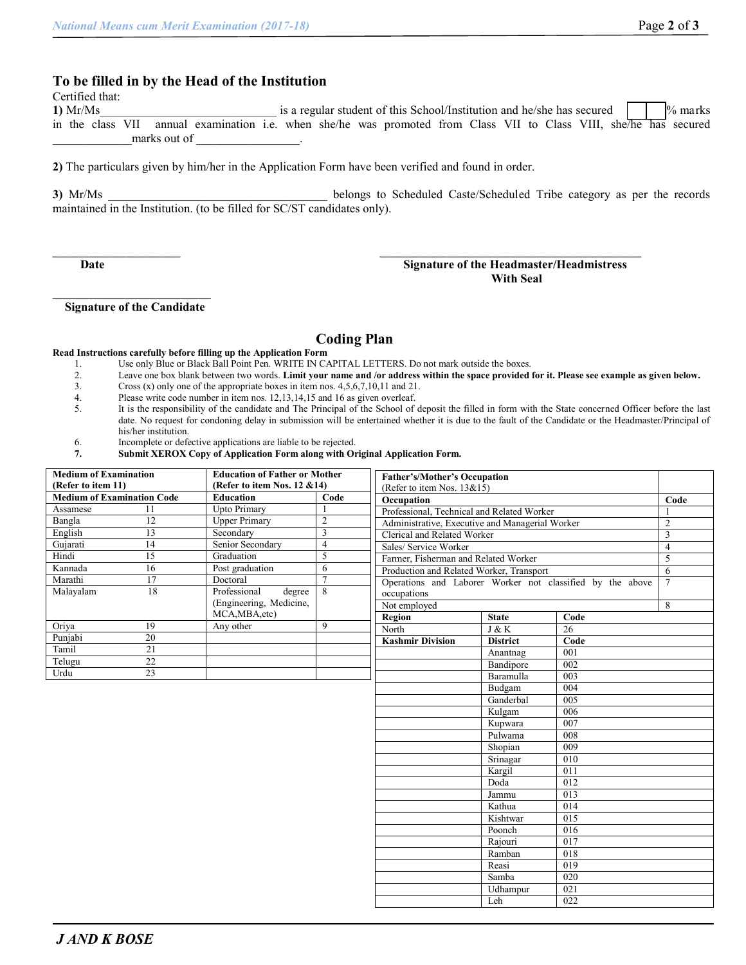## **To be filled in by the Head of the Institution**

Certified that:

**1)** Mr/Ms is a regular student of this School/Institution and he/she has secured  $\begin{bmatrix} \n\end{bmatrix}$   $\%$  marks in the class VII annual examination i.e. when she/he was promoted from Class VII to Class VIII, she/he has secured marks out of

**2)** The particulars given by him/her in the Application Form have been verified and found in order.

**3)** Mr/Ms \_\_\_\_\_\_\_\_\_\_\_\_\_\_\_\_\_\_\_\_\_\_\_\_\_\_\_\_\_\_\_\_\_\_\_\_ belongs to Scheduled Caste/Scheduled Tribe category as per the records maintained in the Institution. (to be filled for SC/ST candidates only).

### **Date Signature of the Headmaster/Headmistress With Seal**

 **Signature of the Candidate**

## **Coding Plan**

#### **Read Instructions carefully before filling up the Application Form**

- 1. Use only Blue or Black Ball Point Pen. WRITE IN CAPITAL LETTERS. Do not mark outside the boxes.<br>2. Leave one box blank between two words. Limit your name and /or address within the space provided
- 2. Leave one box blank between two words. **Limit your name and /or address within the space provided for it. Please see example as given below.**
- Cross (x) only one of the appropriate boxes in item nos.  $4,5,6,7,10,11$  and 21.
- 4. Please write code number in item nos. 12,13,14,15 and 16 as given overleaf.<br>5. It is the responsibility of the candidate and The Principal of the School of
- It is the responsibility of the candidate and The Principal of the School of deposit the filled in form with the State concerned Officer before the last date. No request for condoning delay in submission will be entertained whether it is due to the fault of the Candidate or the Headmaster/Principal of his/her institution.
- 6. Incomplete or defective applications are liable to be rejected.
- **7. Submit XEROX Copy of Application Form along with Original Application Form.**

| <b>Medium of Examination</b><br>(Refer to item 11)<br><b>Medium of Examination Code</b> |                 | <b>Education of Father or Mother</b><br>(Refer to item Nos. 12 $&$ 14) |                | Father's/Mother's Occupation                              |                 |                  |
|-----------------------------------------------------------------------------------------|-----------------|------------------------------------------------------------------------|----------------|-----------------------------------------------------------|-----------------|------------------|
|                                                                                         |                 | <b>Education</b>                                                       | Code           | (Refer to item Nos. 13&15)                                |                 |                  |
| Assamese                                                                                | 11              | <b>Upto Primary</b>                                                    |                | Occupation                                                |                 |                  |
| Bangla                                                                                  | $\overline{12}$ | <b>Upper Primary</b>                                                   | $\overline{2}$ | Professional, Technical and Related Worker                |                 |                  |
| English                                                                                 | 13              | Secondary                                                              | 3              | Administrative, Executive and Managerial Worker           |                 |                  |
| Gujarati                                                                                | 14              | Senior Secondary                                                       | $\overline{4}$ | Clerical and Related Worker                               |                 |                  |
| Hindi                                                                                   | $\overline{15}$ | Graduation                                                             | 5              | Sales/ Service Worker                                     |                 |                  |
|                                                                                         |                 |                                                                        |                | Farmer, Fisherman and Related Worker                      |                 |                  |
| Kannada                                                                                 | 16              | Post graduation                                                        | 6              | Production and Related Worker, Transport                  |                 |                  |
| Marathi                                                                                 | 17              | Doctoral                                                               | $\overline{7}$ | Operations and Laborer Worker not classified by the above |                 |                  |
| Malayalam                                                                               | 18              | Professional<br>degree                                                 | 8              | occupations                                               |                 |                  |
|                                                                                         |                 | (Engineering, Medicine,                                                |                | Not employed                                              |                 |                  |
|                                                                                         |                 | MCA, MBA, etc)                                                         |                | Region                                                    | <b>State</b>    | Code             |
| Oriya                                                                                   | 19              | Any other                                                              | 9              | North                                                     | J & K           | 26               |
| Punjabi                                                                                 | $\overline{20}$ |                                                                        |                | <b>Kashmir Division</b>                                   | <b>District</b> | Code             |
| Tamil                                                                                   | $\overline{21}$ |                                                                        |                |                                                           | Anantnag        | 001              |
| Telugu                                                                                  | $\overline{22}$ |                                                                        |                |                                                           | Bandipore       | 002              |
| Urdu                                                                                    | $\overline{23}$ |                                                                        |                |                                                           | Baramulla       | 003              |
|                                                                                         |                 |                                                                        |                |                                                           | Budgam          | 004              |
|                                                                                         |                 |                                                                        |                |                                                           | Ganderbal       | 005              |
|                                                                                         |                 |                                                                        |                |                                                           | Kulgam          | 006              |
|                                                                                         |                 |                                                                        |                |                                                           | Kupwara         | 007              |
|                                                                                         |                 |                                                                        |                |                                                           | Pulwama         | 008              |
|                                                                                         |                 |                                                                        |                |                                                           | Shopian         | 009              |
|                                                                                         |                 |                                                                        |                |                                                           | Srinagar        | 010              |
|                                                                                         |                 |                                                                        |                |                                                           | Kargil          | 011              |
|                                                                                         |                 |                                                                        |                |                                                           | Doda            | 012              |
|                                                                                         |                 |                                                                        |                |                                                           | Jammu           | 013              |
|                                                                                         |                 |                                                                        |                |                                                           | Kathua          | 014              |
|                                                                                         |                 |                                                                        |                |                                                           | Kishtwar        | 015              |
|                                                                                         |                 |                                                                        |                |                                                           | Poonch          | 016              |
|                                                                                         |                 |                                                                        |                |                                                           | Rajouri         | 017              |
|                                                                                         |                 |                                                                        |                |                                                           | Ramban          | 018              |
|                                                                                         |                 |                                                                        |                |                                                           | Reasi           | $\overline{019}$ |
|                                                                                         |                 |                                                                        |                |                                                           | Samba           | 020              |
|                                                                                         |                 |                                                                        |                |                                                           | Udhampur        | 021              |
|                                                                                         |                 |                                                                        |                |                                                           | Leh             | 022              |